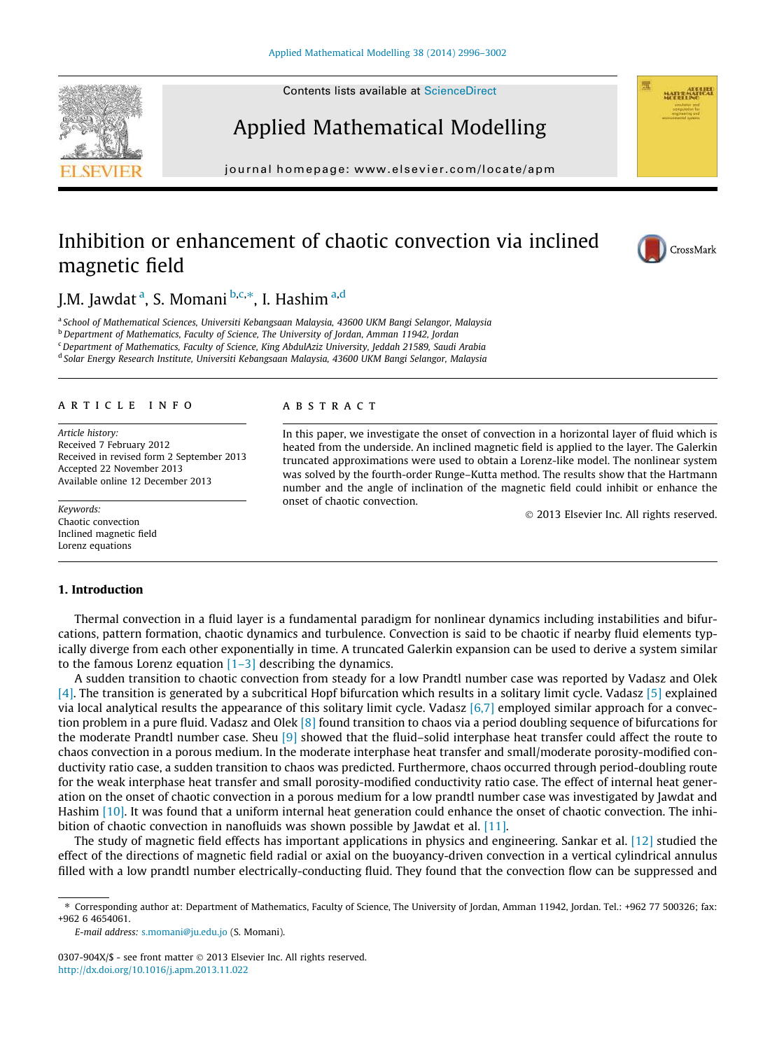Contents lists available at ScienceDirect





journal homepage: www.elsevier.com/locate/apm

# Inhibition or enhancement of chaotic convection via inclined magnetic field



J.M. Jawdat <sup>a</sup>, S. Momani <sup>b,c,</sup>\*, I. Hashim <sup>a,d</sup>

a *School of Mathematical Sciences, Universiti Kebangsaan Malaysia, 43600 UKM Bangi Selangor, Malaysia*

<sup>b</sup>*Department of Mathematics, Faculty of Science, The University of Jordan, Amman 11942, Jordan*

<sup>c</sup>*Department of Mathematics, Faculty of Science, King AbdulAziz University, Jeddah 21589, Saudi Arabia*

d *Solar Energy Research Institute, Universiti Kebangsaan Malaysia, 43600 UKM Bangi Selangor, Malaysia*

### article info

*Article history:* Received 7 February 2012 Received in revised form 2 September 2013 Accepted 22 November 2013 Available online 12 December 2013

## *Keywords:* Chaotic convection Inclined magnetic field Lorenz equations

## **ABSTRACT**

In this paper, we investigate the onset of convection in a horizontal layer of fluid which is heated from the underside. An inclined magnetic field is applied to the layer. The Galerkin truncated approximations were used to obtain a Lorenz-like model. The nonlinear system was solved by the fourth-order Runge–Kutta method. The results show that the Hartmann number and the angle of inclination of the magnetic field could inhibit or enhance the onset of chaotic convection.

 $©$  2013 Elsevier Inc. All rights reserved.

# 1. Introduction

Thermal convection in a fluid layer is a fundamental paradigm for nonlinear dynamics including instabilities and bifurcations, pattern formation, chaotic dynamics and turbulence. Convection is said to be chaotic if nearby fluid elements typically diverge from each other exponentially in time. A truncated Galerkin expansion can be used to derive a system similar to the famous Lorenz equation  $[1-3]$  describing the dynamics.

A sudden transition to chaotic convection from steady for a low Prandtl number case was reported by Vadasz and Olek [4]. The transition is generated by a subcritical Hopf bifurcation which results in a solitary limit cycle. Vadasz [5] explained via local analytical results the appearance of this solitary limit cycle. Vadasz  $[6,7]$  employed similar approach for a convection problem in a pure fluid. Vadasz and Olek [8] found transition to chaos via a period doubling sequence of bifurcations for the moderate Prandtl number case. Sheu [9] showed that the fluid–solid interphase heat transfer could affect the route to chaos convection in a porous medium. In the moderate interphase heat transfer and small/moderate porosity-modified conductivity ratio case, a sudden transition to chaos was predicted. Furthermore, chaos occurred through period-doubling route for the weak interphase heat transfer and small porosity-modified conductivity ratio case. The effect of internal heat generation on the onset of chaotic convection in a porous medium for a low prandtl number case was investigated by Jawdat and Hashim [10]. It was found that a uniform internal heat generation could enhance the onset of chaotic convection. The inhibition of chaotic convection in nanofluids was shown possible by Jawdat et al. [11].

The study of magnetic field effects has important applications in physics and engineering. Sankar et al. [12] studied the effect of the directions of magnetic field radial or axial on the buoyancy-driven convection in a vertical cylindrical annulus filled with a low prandtl number electrically-conducting fluid. They found that the convection flow can be suppressed and

*E-mail address:* s.momani@ju.edu.jo (S. Momani).

0307-904X/\$ - see front matter @ 2013 Elsevier Inc. All rights reserved. http://dx.doi.org/10.1016/j.apm.2013.11.022

<sup>⇑</sup> Corresponding author at: Department of Mathematics, Faculty of Science, The University of Jordan, Amman 11942, Jordan. Tel.: +962 77 500326; fax: +962 6 4654061.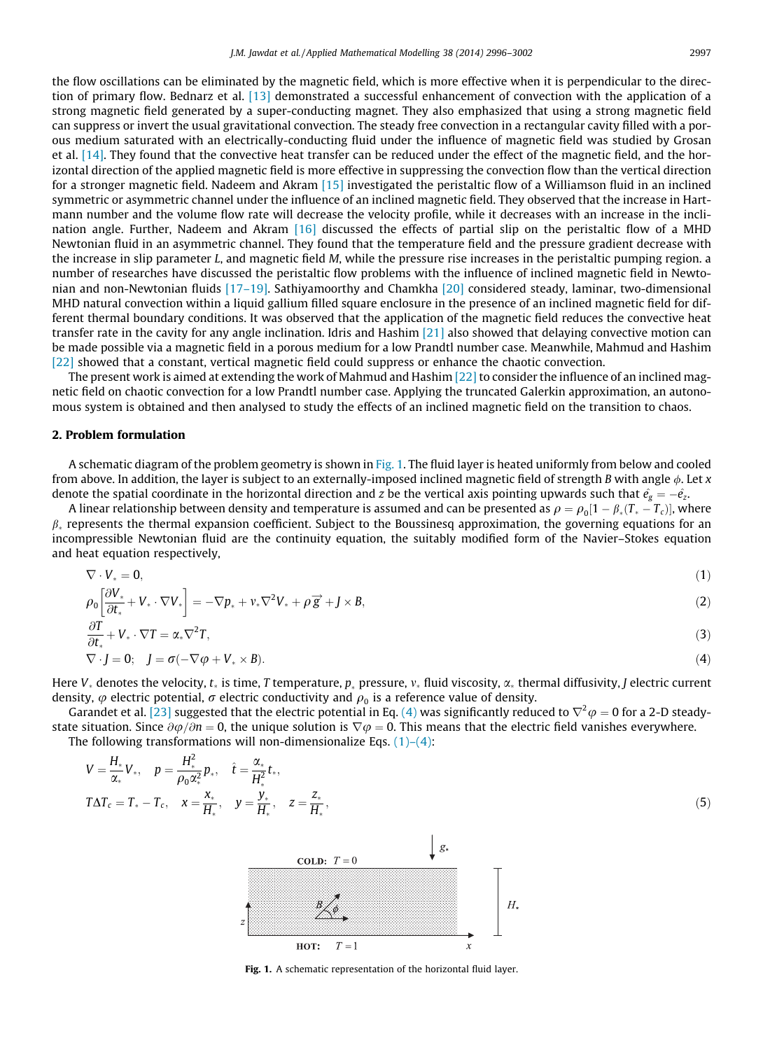the flow oscillations can be eliminated by the magnetic field, which is more effective when it is perpendicular to the direction of primary flow. Bednarz et al. [13] demonstrated a successful enhancement of convection with the application of a strong magnetic field generated by a super-conducting magnet. They also emphasized that using a strong magnetic field can suppress or invert the usual gravitational convection. The steady free convection in a rectangular cavity filled with a porous medium saturated with an electrically-conducting fluid under the influence of magnetic field was studied by Grosan et al. [14]. They found that the convective heat transfer can be reduced under the effect of the magnetic field, and the horizontal direction of the applied magnetic field is more effective in suppressing the convection flow than the vertical direction for a stronger magnetic field. Nadeem and Akram [15] investigated the peristaltic flow of a Williamson fluid in an inclined symmetric or asymmetric channel under the influence of an inclined magnetic field. They observed that the increase in Hartmann number and the volume flow rate will decrease the velocity profile, while it decreases with an increase in the inclination angle. Further, Nadeem and Akram [16] discussed the effects of partial slip on the peristaltic flow of a MHD Newtonian fluid in an asymmetric channel. They found that the temperature field and the pressure gradient decrease with the increase in slip parameter *L*, and magnetic field *M*, while the pressure rise increases in the peristaltic pumping region. a number of researches have discussed the peristaltic flow problems with the influence of inclined magnetic field in Newtonian and non-Newtonian fluids [17–19]. Sathiyamoorthy and Chamkha [20] considered steady, laminar, two-dimensional MHD natural convection within a liquid gallium filled square enclosure in the presence of an inclined magnetic field for different thermal boundary conditions. It was observed that the application of the magnetic field reduces the convective heat transfer rate in the cavity for any angle inclination. Idris and Hashim [21] also showed that delaying convective motion can be made possible via a magnetic field in a porous medium for a low Prandtl number case. Meanwhile, Mahmud and Hashim [22] showed that a constant, vertical magnetic field could suppress or enhance the chaotic convection.

The present work is aimed at extending the work of Mahmud and Hashim [22] to consider the influence of an inclined magnetic field on chaotic convection for a low Prandtl number case. Applying the truncated Galerkin approximation, an autonomous system is obtained and then analysed to study the effects of an inclined magnetic field on the transition to chaos.

## 2. Problem formulation

A schematic diagram of the problem geometry is shown in Fig. 1. The fluid layer is heated uniformly from below and cooled from above. In addition, the layer is subject to an externally-imposed inclined magnetic field of strength *B* with angle /. Let *x* denote the spatial coordinate in the horizontal direction and *z* be the vertical axis pointing upwards such that  $\hat{e_g} = -\hat{e_z}$ .

A linear relationship between density and temperature is assumed and can be presented as  $\rho = \rho_0[1 - \beta_*(T_* - T_c)]$ , where  $\beta_*$  represents the thermal expansion coefficient. Subject to the Boussinesq approximation, the governing equations for an incompressible Newtonian fluid are the continuity equation, the suitably modified form of the Navier–Stokes equation and heat equation respectively,

$$
\nabla \cdot V_* = 0, \tag{1}
$$

$$
\rho_0 \left[ \frac{\partial V_*}{\partial t_*} + V_* \cdot \nabla V_* \right] = -\nabla p_* + \nu_* \nabla^2 V_* + \rho \overrightarrow{g} + J \times B, \tag{2}
$$

$$
\frac{\partial T}{\partial t_*} + V_* \cdot \nabla T = \alpha_* \nabla^2 T,
$$
\n
$$
\nabla \cdot J = 0; \quad J = \sigma(-\nabla \varphi + V_* \times B).
$$
\n(3)

Here  $V_*$  denotes the velocity,  $t_*$  is time, *T* temperature,  $p_*$  pressure,  $v_*$  fluid viscosity,  $\alpha_*$  thermal diffusivity, *J* electric current density,  $\varphi$  electric potential,  $\sigma$  electric conductivity and  $\rho_{0}$  is a reference value of density.

Garandet et al. [23] suggested that the electric potential in Eq. (4) was significantly reduced to  $\nabla^2 \varphi = 0$  for a 2-D steadystate situation. Since  $\partial\varphi/\partial n=0$ , the unique solution is  $\nabla\varphi=0$ . This means that the electric field vanishes everywhere. The following transformations will non-dimensionalize Eqs.  $(1)$ – $(4)$ :

$$
V = \frac{H_*}{\alpha_*} V_*, \quad p = \frac{H_*^2}{\rho_0 \alpha_*^2} p_*, \quad \hat{t} = \frac{\alpha_*}{H_*^2} t_*,
$$
  
\n
$$
T \Delta T_c = T_* - T_c, \quad x = \frac{x_*}{H_*}, \quad y = \frac{y_*}{H_*}, \quad z = \frac{z_*}{H_*},
$$
\n(5)



Fig. 1. A schematic representation of the horizontal fluid layer.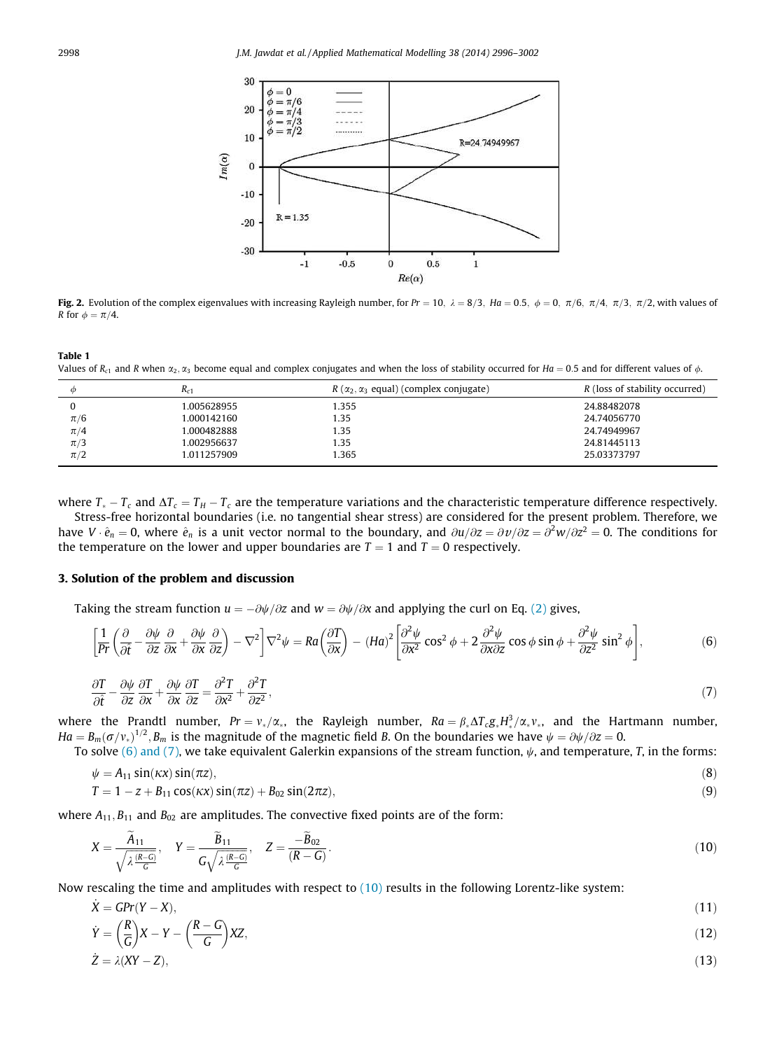

Fig. 2. Evolution of the complex eigenvalues with increasing Rayleigh number, for  $Pr = 10$ ,  $\lambda = 8/3$ ,  $Ha = 0.5$ ,  $\phi = 0$ ,  $\pi/6$ ,  $\pi/4$ ,  $\pi/3$ ,  $\pi/2$ , with values of *R* for  $\phi = \pi/4$ .

Table 1 Values of  $R_{c1}$  and *R* when  $\alpha_2, \alpha_3$  become equal and complex conjugates and when the loss of stability occurred for *Ha* = 0.5 and for different values of  $\phi$ .

| Φ       | $R_{c1}$    | $R(\alpha_2, \alpha_3)$ equal) (complex conjugate) | R (loss of stability occurred) |
|---------|-------------|----------------------------------------------------|--------------------------------|
|         | 1.005628955 | 1.355                                              | 24.88482078                    |
| $\pi/6$ | 1.000142160 | 1.35                                               | 24.74056770                    |
| $\pi/4$ | 1.000482888 | 1.35                                               | 24.74949967                    |
| $\pi/3$ | 1.002956637 | 1.35                                               | 24.81445113                    |
| $\pi/2$ | 1.011257909 | 1.365                                              | 25.03373797                    |
|         |             |                                                    |                                |

where  $T_* - T_c$  and  $\Delta T_c = T_H - T_c$  are the temperature variations and the characteristic temperature difference respectively. Stress-free horizontal boundaries (i.e. no tangential shear stress) are considered for the present problem. Therefore, we have  $V \cdot \hat{e}_n = 0$ , where  $\hat{e}_n$  is a unit vector normal to the boundary, and  $\frac{\partial u}{\partial z} = \frac{\partial v}{\partial z} = \frac{\partial^2 w}{\partial z^2} = 0$ . The conditions for the temperature on the lower and upper boundaries are  $T = 1$  and  $T = 0$  respectively.

# 3. Solution of the problem and discussion

Taking the stream function  $u = -\partial \psi / \partial z$  and  $w = \partial \psi / \partial x$  and applying the curl on Eq. (2) gives,

$$
\left[\frac{1}{\rho r}\left(\frac{\partial}{\partial \hat{t}} - \frac{\partial \psi}{\partial z}\frac{\partial}{\partial x} + \frac{\partial \psi}{\partial x}\frac{\partial}{\partial z}\right) - \nabla^2\right]\nabla^2\psi = R a \left(\frac{\partial T}{\partial x}\right) - (H a)^2 \left[\frac{\partial^2 \psi}{\partial x^2}\cos^2\phi + 2\frac{\partial^2 \psi}{\partial x \partial z}\cos\phi\sin\phi + \frac{\partial^2 \psi}{\partial z^2}\sin^2\phi\right],\tag{6}
$$

$$
\frac{\partial T}{\partial \hat{t}} - \frac{\partial \psi}{\partial z} \frac{\partial T}{\partial x} + \frac{\partial \psi}{\partial x} \frac{\partial T}{\partial z} = \frac{\partial^2 T}{\partial x^2} + \frac{\partial^2 T}{\partial z^2},\tag{7}
$$

where the Prandtl number,  $Pr = v_*/\alpha_*$ , the Rayleigh number,  $Ra = \beta_* \Delta T_c g_* H_*^3 / \alpha_* v_*$ , and the Hartmann number,  $Ha = B_m(\sigma/v_*)^{1/2}, B_m$  is the magnitude of the magnetic field *B*. On the boundaries we have  $\psi = \partial \psi / \partial z = 0$ .

To solve (6) and (7), we take equivalent Galerkin expansions of the stream function,  $\psi$ , and temperature, *T*, in the forms:

$$
\psi = A_{11} \sin(\kappa x) \sin(\pi z),\tag{8}
$$

$$
T = 1 - z + B_{11} \cos(\kappa x) \sin(\pi z) + B_{02} \sin(2\pi z), \tag{9}
$$

where  $A_{11}$ ,  $B_{11}$  and  $B_{02}$  are amplitudes. The convective fixed points are of the form:

$$
X = \frac{\widetilde{A}_{11}}{\sqrt{\lambda \frac{(R-G)}{G}}}, \quad Y = \frac{\widetilde{B}_{11}}{G\sqrt{\lambda \frac{(R-G)}{G}}}, \quad Z = \frac{-\widetilde{B}_{02}}{(R-G)}.
$$
\n(10)

Now rescaling the time and amplitudes with respect to (10) results in the following Lorentz-like system:

$$
\dot{X} = \text{GPr}(Y - X),\tag{11}
$$

$$
\dot{Y} = \left(\frac{R}{G}\right)X - Y - \left(\frac{R-G}{G}\right)XZ,\tag{12}
$$

$$
\dot{Z} = \lambda (XY - Z),\tag{13}
$$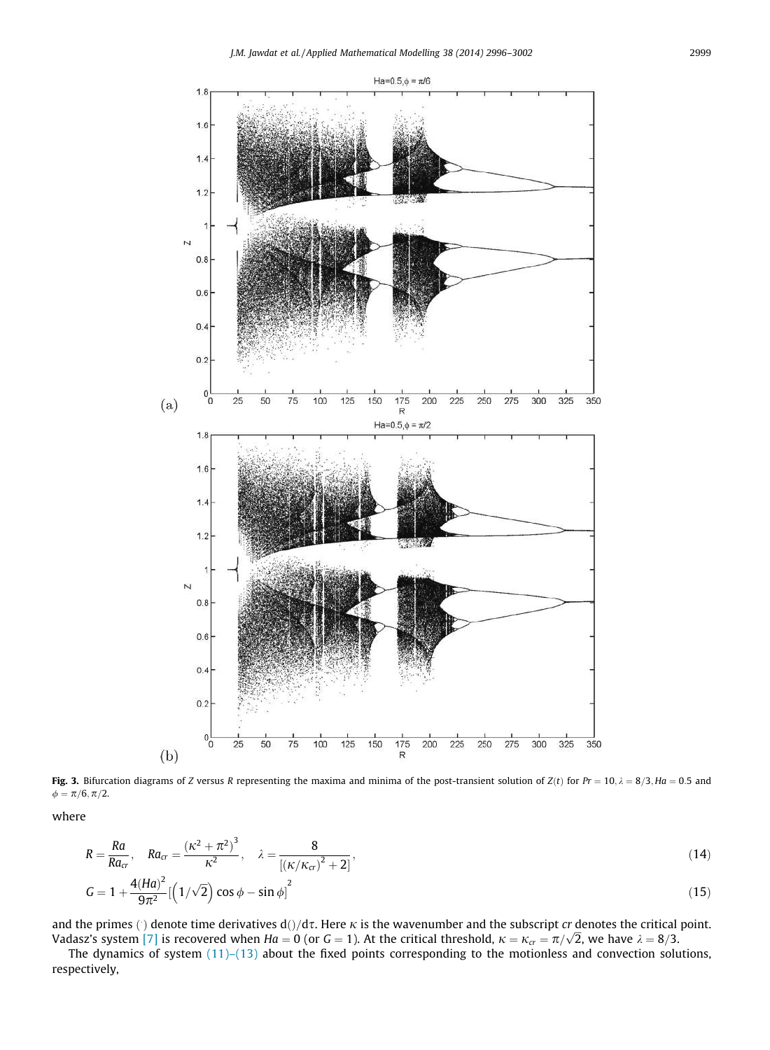

Fig. 3. Bifurcation diagrams of *Z* versus *R* representing the maxima and minima of the post-transient solution of *Z*(*t*) for *Pr* = 10,  $\lambda$  = 8/3, *Ha* = 0.5 and  $\phi = \pi/6, \pi/2.$ 

where

$$
R = \frac{Ra}{Ra_{cr}}, \quad Ra_{cr} = \frac{(\kappa^2 + \pi^2)^3}{\kappa^2}, \quad \lambda = \frac{8}{[(\kappa/\kappa_{cr})^2 + 2]},
$$
  
\n
$$
G = 1 + \frac{4(Ha)^2}{9\pi^2} [\left(1/\sqrt{2}\right) \cos \phi - \sin \phi]^2
$$
\n(15)

and the primes () denote time derivatives  $d() / d\tau$ . Here  $\kappa$  is the wavenumber and the subscript *cr* denotes the critical point. Vadasz's system [7] is recovered when  $Ha = 0$  (or  $G = 1$ ). At the critical threshold,  $\kappa = \kappa_{cr} = \pi/\sqrt{2}$ , we have  $\lambda = 8/3$ .

The dynamics of system (11)–(13) about the fixed points corresponding to the motionless and convection solutions, respectively,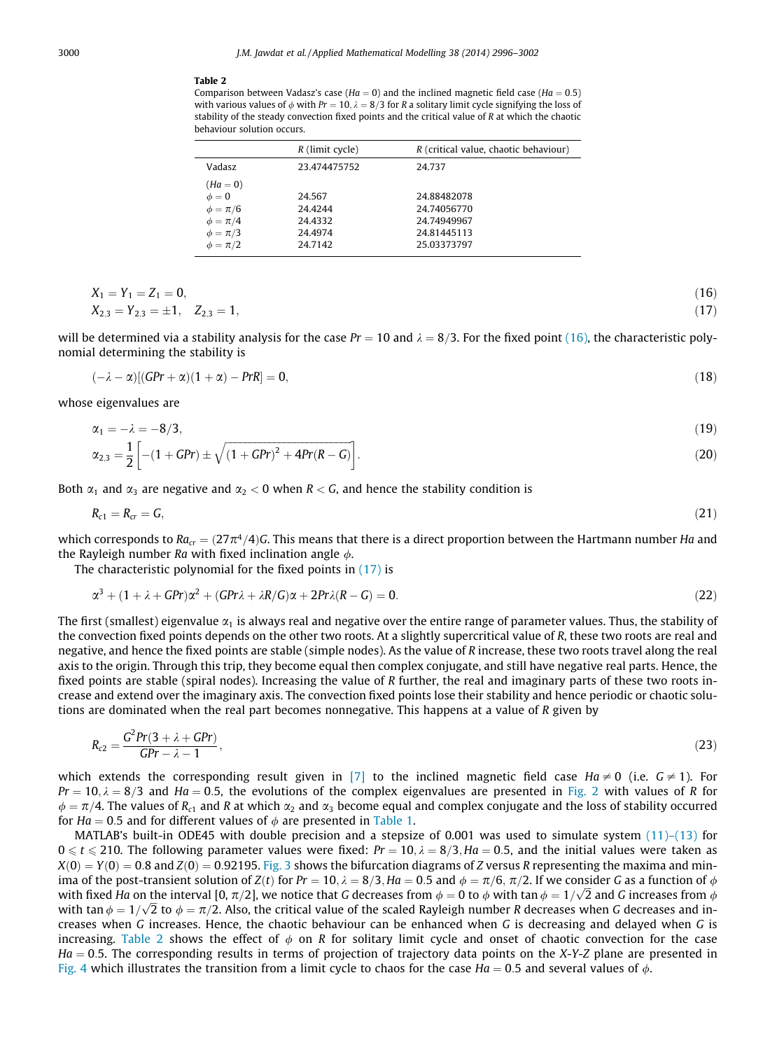#### Table 2

Comparison between Vadasz's case ( $Ha = 0$ ) and the inclined magnetic field case ( $Ha = 0.5$ ) with various values of  $\phi$  with  $Pr = 10$ ,  $\lambda = 8/3$  for *R* a solitary limit cycle signifying the loss of stability of the steady convection fixed points and the critical value of *R* at which the chaotic behaviour solution occurs.

|                                                              | $R$ (limit cycle)            | R (critical value, chaotic behaviour)     |
|--------------------------------------------------------------|------------------------------|-------------------------------------------|
| <b>Vadasz</b>                                                | 23.474475752                 | 24.737                                    |
| $(Ha = 0)$<br>$\phi = 0$<br>$\phi = \pi/6$<br>$\phi = \pi/4$ | 24.567<br>24.4244<br>24.4332 | 24.88482078<br>24.74056770<br>24.74949967 |
| $\phi = \pi/3$<br>$\phi = \pi/2$                             | 24.4974<br>24.7142           | 24.81445113<br>25.03373797                |

$$
X_1 = Y_1 = Z_1 = 0,
$$
  
\n
$$
X_{2,3} = Y_{2,3} = \pm 1, \quad Z_{2,3} = 1,
$$
\n
$$
(16)
$$

will be determined via a stability analysis for the case  $Pr = 10$  and  $\lambda = 8/3$ . For the fixed point (16), the characteristic polynomial determining the stability is

$$
(-\lambda - \alpha)[(GPr + \alpha)(1 + \alpha) - PrR] = 0,
$$
\n(18)

whose eigenvalues are

$$
\alpha_1 = -\lambda = -8/3,\tag{19}
$$

$$
\alpha_{2,3} = \frac{1}{2} \left[ -(1 + GPr) \pm \sqrt{(1 + GPr)^2 + 4Pr(R - G)} \right].
$$
\n(20)

Both  $\alpha_1$  and  $\alpha_3$  are negative and  $\alpha_2 < 0$  when  $R < G$ , and hence the stability condition is

$$
R_{c1}=R_{cr}=G,\tag{21}
$$

which corresponds to  $Ra_{cr} = (27\pi^4/4)G$ . This means that there is a direct proportion between the Hartmann number *Ha* and the Rayleigh number *Ra* with fixed inclination angle  $\phi$ .

The characteristic polynomial for the fixed points in  $(17)$  is

$$
\alpha^3 + (1 + \lambda + GPr)\alpha^2 + (GPr\lambda + \lambda R/G)\alpha + 2Pr\lambda(R - G) = 0.
$$
\n(22)

The first (smallest) eigenvalue  $\alpha_1$  is always real and negative over the entire range of parameter values. Thus, the stability of the convection fixed points depends on the other two roots. At a slightly supercritical value of *R*, these two roots are real and negative, and hence the fixed points are stable (simple nodes). As the value of *R* increase, these two roots travel along the real axis to the origin. Through this trip, they become equal then complex conjugate, and still have negative real parts. Hence, the fixed points are stable (spiral nodes). Increasing the value of *R* further, the real and imaginary parts of these two roots increase and extend over the imaginary axis. The convection fixed points lose their stability and hence periodic or chaotic solutions are dominated when the real part becomes nonnegative. This happens at a value of *R* given by

$$
R_{c2} = \frac{G^2 Pr(3 + \lambda + GPr)}{GPr - \lambda - 1},
$$
\n(23)

which extends the corresponding result given in [7] to the inclined magnetic field case  $Ha \neq 0$  (i.e.  $G \neq 1$ ). For  $Pr = 10$ ,  $\lambda = 8/3$  and  $Ha = 0.5$ , the evolutions of the complex eigenvalues are presented in Fig. 2 with values of *R* for  $\phi = \pi/4$ . The values of *R*<sub>c1</sub> and *R* at which  $\alpha_2$  and  $\alpha_3$  become equal and complex conjugate and the loss of stability occurred for *Ha* = 0.5 and for different values of  $\phi$  are presented in Table 1.

MATLAB's built-in ODE45 with double precision and a stepsize of 0.001 was used to simulate system (11)–(13) for  $0 \le t \le 210$ . The following parameter values were fixed:  $Pr = 10$ ,  $\lambda = 8/3$ ,  $Ha = 0.5$ , and the initial values were taken as  $X(0) = Y(0) = 0.8$  and  $Z(0) = 0.92195$ . Fig. 3 shows the bifurcation diagrams of *Z* versus *R* representing the maxima and minima of the post-transient solution of *Z*(*t*) for *Pr* = 10,  $\lambda = 8/3$ , *Ha* = 0.5 and  $\phi = \pi/6$ ,  $\pi/2$ . If we consider *G* as a function of  $\phi$ with fixed *Ha* on the interval [0,  $\pi/2$ ], we notice that *G* decreases from  $\phi = 0$  to  $\phi$  with tan  $\phi = 1/\sqrt{2}$  and *G* increases from  $\phi$ with  $\tan \phi = 1/\sqrt{2}$  to  $\phi = \pi/2$ . Also, the critical value of the scaled Rayleigh number *R* decreases when *G* decreases and increases when *G* increases. Hence, the chaotic behaviour can be enhanced when *G* is decreasing and delayed when *G* is increasing. Table 2 shows the effect of  $\phi$  on *R* for solitary limit cycle and onset of chaotic convection for the case *Ha* = 0.5. The corresponding results in terms of projection of trajectory data points on the *X-Y-Z* plane are presented in Fig. 4 which illustrates the transition from a limit cycle to chaos for the case  $Ha = 0.5$  and several values of  $\phi$ .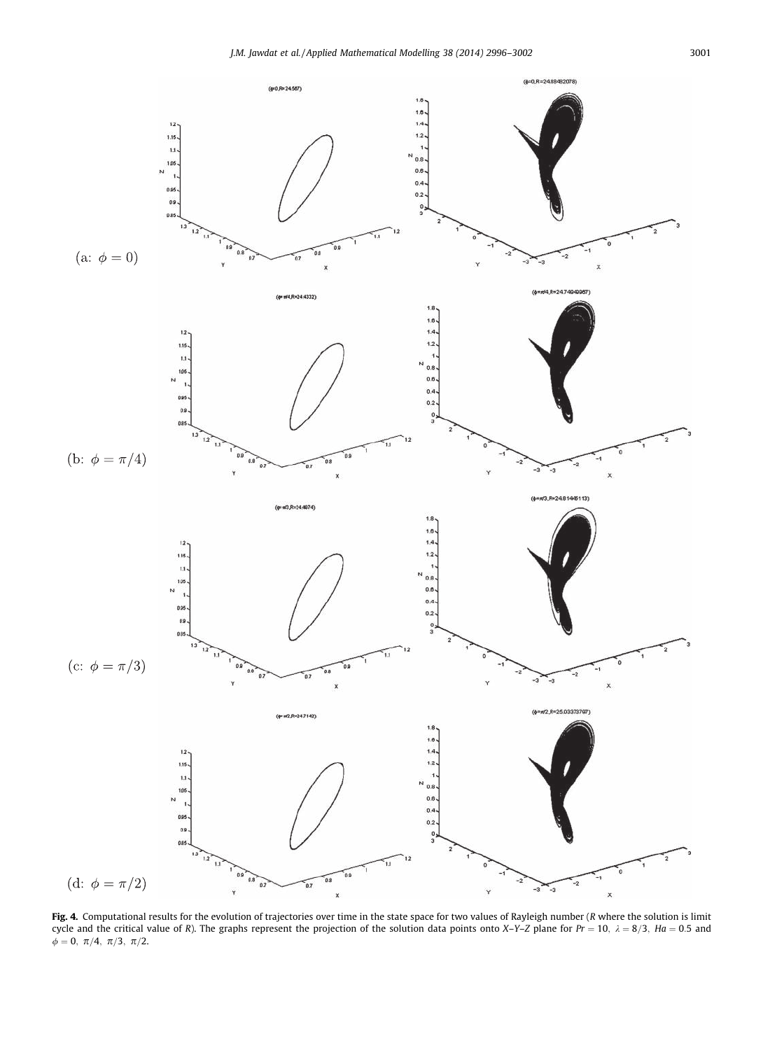

Fig. 4. Computational results for the evolution of trajectories over time in the state space for two values of Rayleigh number (*R* where the solution is limit cycle and the critical value of *R*). The graphs represent the projection of the solution data points onto *X*–*Y*–*Z* plane for *Pr* = 10,  $\lambda$  = 8/3, *Ha* = 0.5 and  $\phi$  = 0,  $\pi/4$ ,  $\pi/3$ ,  $\pi/2$ .